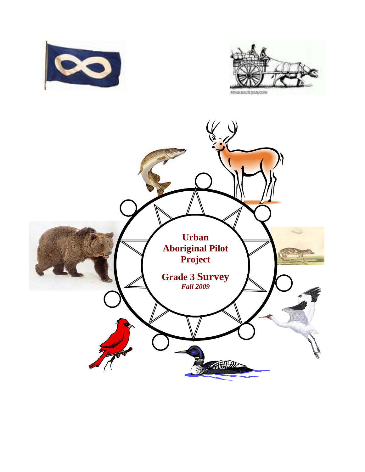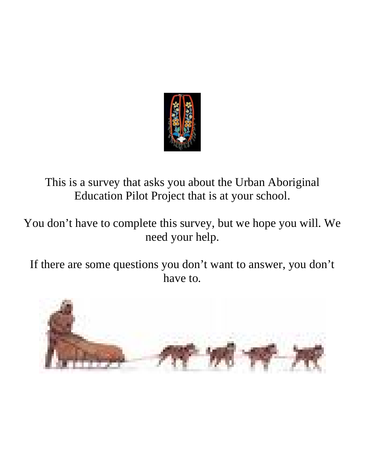

This is a survey that asks you about the Urban Aboriginal Education Pilot Project that is at your school.

You don't have to complete this survey, but we hope you will. We need your help.

If there are some questions you don't want to answer, you don't have to.

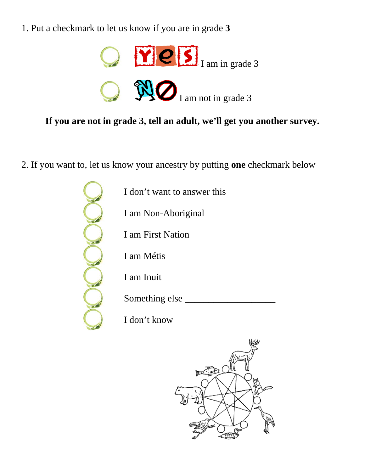1. Put a checkmark to let us know if you are in grade **3**



**If you are not in grade 3, tell an adult, we'll get you another survey.** 

2. If you want to, let us know your ancestry by putting **one** checkmark below

I don't want to answer this

I am Non-Aboriginal

I am First Nation

I am Métis

I am Inuit

Something else

I don't know

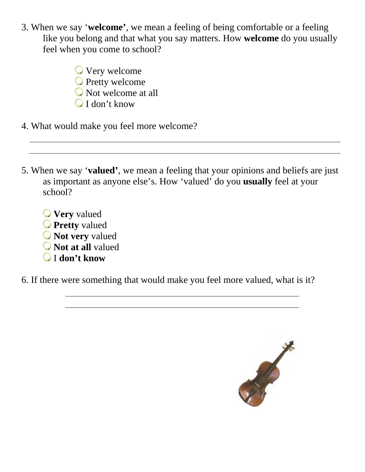3. When we say '**welcome'**, we mean a feeling of being comfortable or a feeling like you belong and that what you say matters. How **welcome** do you usually feel when you come to school?

> Very welcome **O** Pretty welcome Not welcome at all I don't know

- 4. What would make you feel more welcome?
- 5. When we say '**valued'**, we mean a feeling that your opinions and beliefs are just as important as anyone else's. How 'valued' do you **usually** feel at your school?
	- **Very** valued **Pretty** valued
	- **Not very** valued
	- **Not at all** valued
	- I **don't know**

6. If there were something that would make you feel more valued, what is it?

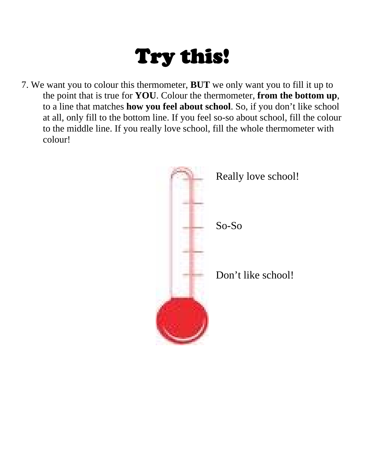## Try this!

7. We want you to colour this thermometer, **BUT** we only want you to fill it up to the point that is true for **YOU**. Colour the thermometer, **from the bottom up**, to a line that matches **how you feel about school**. So, if you don't like school at all, only fill to the bottom line. If you feel so-so about school, fill the colour to the middle line. If you really love school, fill the whole thermometer with colour!

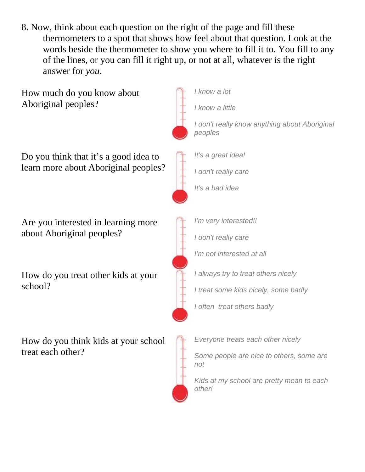8. Now, think about each question on the right of the page and fill these thermometers to a spot that shows how feel about that question. Look at the words beside the thermometer to show you where to fill it to. You fill to any of the lines, or you can fill it right up, or not at all, whatever is the right answer for *you*.

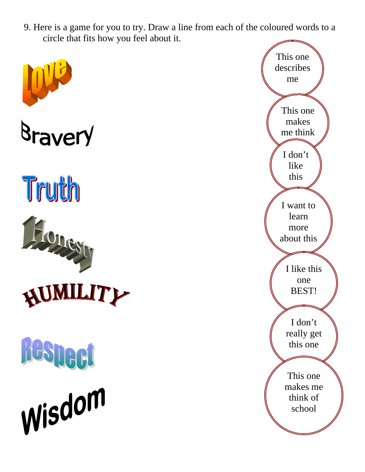9. Here is a game for you to try. Draw a line from each of the coloured words to a circle that fits how you feel about it.